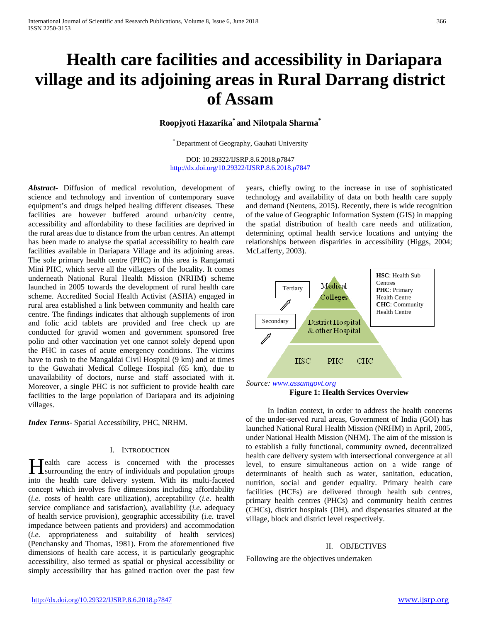# **Health care facilities and accessibility in Dariapara village and its adjoining areas in Rural Darrang district of Assam**

# **Roopjyoti Hazarika\* and Nilotpala Sharma\***

\* Department of Geography, Gauhati University

DOI: 10.29322/IJSRP.8.6.2018.p7847 <http://dx.doi.org/10.29322/IJSRP.8.6.2018.p7847>

*Abstract***-** Diffusion of medical revolution, development of science and technology and invention of contemporary suave equipment's and drugs helped healing different diseases. These facilities are however buffered around urban/city centre, accessibility and affordability to these facilities are deprived in the rural areas due to distance from the urban centres. An attempt has been made to analyse the spatial accessibility to health care facilities available in Dariapara Village and its adjoining areas. The sole primary health centre (PHC) in this area is Rangamati Mini PHC, which serve all the villagers of the locality. It comes underneath National Rural Health Mission (NRHM) scheme launched in 2005 towards the development of rural health care scheme. Accredited Social Health Activist (ASHA) engaged in rural area established a link between community and health care centre. The findings indicates that although supplements of iron and folic acid tablets are provided and free check up are conducted for gravid women and government sponsored free polio and other vaccination yet one cannot solely depend upon the PHC in cases of acute emergency conditions. The victims have to rush to the Mangaldai Civil Hospital (9 km) and at times to the Guwahati Medical College Hospital (65 km), due to unavailability of doctors, nurse and staff associated with it. Moreover, a single PHC is not sufficient to provide health care facilities to the large population of Dariapara and its adjoining villages.

*Index Terms*- Spatial Accessibility, PHC, NRHM.

#### I. INTRODUCTION

Tealth care access is concerned with the processes **H**ealth care access is concerned with the processes surrounding the entry of individuals and population groups into the health care delivery system. With its multi-faceted concept which involves five dimensions including affordability (*i.e.* costs of health care utilization), acceptability (*i.e.* health service compliance and satisfaction), availability (*i.e.* adequacy of health service provision), geographic accessibility (i.e. travel impedance between patients and providers) and accommodation (*i.e.* appropriateness and suitability of health services) (Penchansky and Thomas, 1981). From the aforementioned five dimensions of health care access, it is particularly geographic accessibility, also termed as spatial or physical accessibility or simply accessibility that has gained traction over the past few

years, chiefly owing to the increase in use of sophisticated technology and availability of data on both health care supply and demand (Neutens, 2015). Recently, there is wide recognition of the value of Geographic Information System (GIS) in mapping the spatial distribution of health care needs and utilization, determining optimal health service locations and untying the relationships between disparities in accessibility (Higgs, 2004; McLafferty, 2003).





 In Indian context, in order to address the health concerns of the under-served rural areas, Government of India (GOI) has launched National Rural Health Mission (NRHM) in April, 2005, under National Health Mission (NHM). The aim of the mission is to establish a fully functional, community owned, decentralized health care delivery system with intersectional convergence at all level, to ensure simultaneous action on a wide range of determinants of health such as water, sanitation, education, nutrition, social and gender equality. Primary health care facilities (HCFs) are delivered through health sub centres, primary health centres (PHCs) and community health centres (CHCs), district hospitals (DH), and dispensaries situated at the village, block and district level respectively.

#### II. OBJECTIVES

Following are the objectives undertaken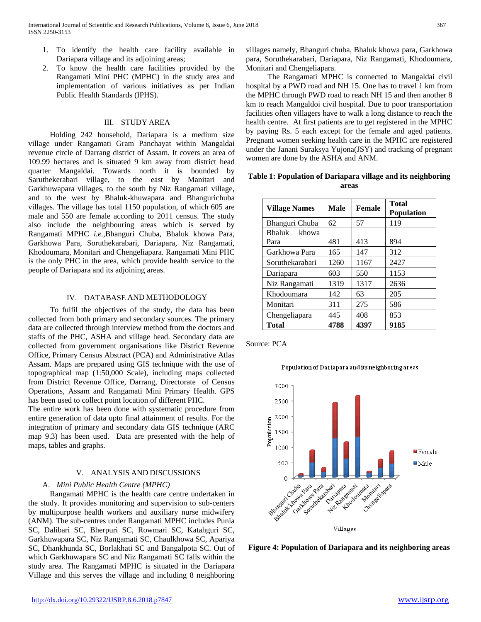- 1. To identify the health care facility available in Dariapara village and its adjoining areas;
- 2. To know the health care facilities provided by the Rangamati Mini PHC (MPHC) in the study area and implementation of various initiatives as per Indian Public Health Standards (IPHS).

# III. STUDY AREA

 Holding 242 household, Dariapara is a medium size village under Rangamati Gram Panchayat within Mangaldai revenue circle of Darrang district of Assam. It covers an area of 109.99 hectares and is situated 9 km away from district head quarter Mangaldai. Towards north it is bounded by Saruthekerabari village, to the east by Manitari and Garkhuwapara villages, to the south by Niz Rangamati village, and to the west by Bhaluk-khuwapara and Bhangurichuba villages. The village has total 1150 population, of which 605 are male and 550 are female according to 2011 census. The study also include the neighbouring areas which is served by Rangamati MPHC *i.e.,*Bhanguri Chuba, Bhaluk khowa Para, Garkhowa Para, Soruthekarabari, Dariapara, Niz Rangamati, Khodoumara, Monitari and Chengeliapara. Rangamati Mini PHC is the only PHC in the area, which provide health service to the people of Dariapara and its adjoining areas.

# IV. DATABASE AND METHODOLOGY

 To fulfil the objectives of the study, the data has been collected from both primary and secondary sources. The primary data are collected through interview method from the doctors and staffs of the PHC, ASHA and village head. Secondary data are collected from government organisations like District Revenue Office, Primary Census Abstract (PCA) and Administrative Atlas Assam. Maps are prepared using GIS technique with the use of topographical map (1:50,000 Scale), including maps collected from District Revenue Office, Darrang, Directorate of Census Operations, Assam and Rangamati Mini Primary Health. GPS has been used to collect point location of different PHC.

The entire work has been done with systematic procedure from entire generation of data upto final attainment of results. For the integration of primary and secondary data GIS technique (ARC map 9.3) has been used. Data are presented with the help of maps, tables and graphs.

# V. ANALYSIS AND DISCUSSIONS

# A. *Mini Public Health Centre (MPHC)*

 Rangamati MPHC is the health care centre undertaken in the study. It provides monitoring and supervision to sub-centers by multipurpose health workers and auxiliary nurse midwifery (ANM). The sub-centres under Rangamati MPHC includes Punia SC, Dalibari SC, Bherpuri SC, Rowmari SC, Katahguri SC, Garkhuwapara SC, Niz Rangamati SC, Chaulkhowa SC, Apariya SC, Dhankhunda SC, Borlakhati SC and Bangalpota SC. Out of which Garkhuwapara SC and Niz Rangamati SC falls within the study area. The Rangamati MPHC is situated in the Dariapara Village and this serves the village and including 8 neighboring villages namely, Bhanguri chuba, Bhaluk khowa para, Garkhowa para, Soruthekarabari, Dariapara, Niz Rangamati, Khodoumara, Monitari and Chengeliapara.

 The Rangamati MPHC is connected to Mangaldai civil hospital by a PWD road and NH 15. One has to travel 1 km from the MPHC through PWD road to reach NH 15 and then another 8 km to reach Mangaldoi civil hospital. Due to poor transportation facilities often villagers have to walk a long distance to reach the health centre. At first patients are to get registered in the MPHC by paying Rs. 5 each except for the female and aged patients. Pregnant women seeking health care in the MPHC are registered under the Janani Suraksya Yujona(JSY) and tracking of pregnant women are done by the ASHA and ANM.

**Table 1: Population of Dariapara village and its neighboring areas**

| <b>Village Names</b>    | <b>Male</b> | <b>Female</b> | <b>Total</b><br><b>Population</b> |
|-------------------------|-------------|---------------|-----------------------------------|
| Bhanguri Chuba          | 62          | 57            | 119                               |
| Bhaluk<br>khowa<br>Para | 481         | 413           | 894                               |
| Garkhowa Para           | 165         | 147           | 312                               |
| Soruthekarabari         | 1260        | 1167          | 2427                              |
| Dariapara               | 603         | 550           | 1153                              |
| Niz Rangamati           | 1319        | 1317          | 2636                              |
| Khodoumara              | 142         | 63            | 205                               |
| Monitari                | 311         | 275           | 586                               |
| Chengeliapara           | 445         | 408           | 853                               |
| Total                   | 4788        | 4397          | 9185                              |

Source: PCA



**Figure 4: Population of Dariapara and its neighboring areas**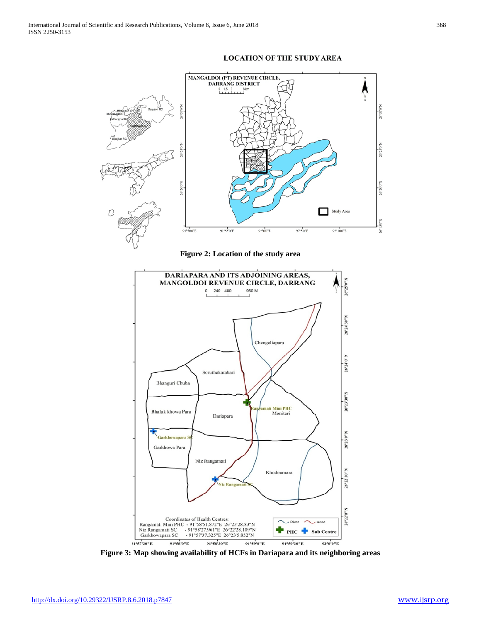



**Figure 2: Location of the study area**



**Figure 3: Map showing availability of HCFs in Dariapara and its neighboring areas**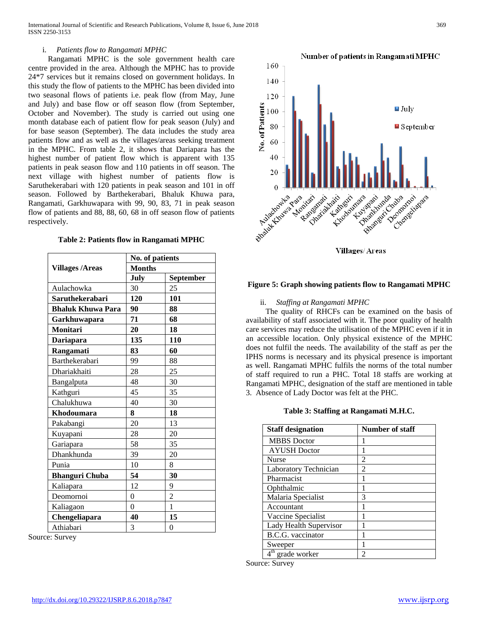# i. *Patients flow to Rangamati MPHC*

 Rangamati MPHC is the sole government health care centre provided in the area. Although the MPHC has to provide 24\*7 services but it remains closed on government holidays. In this study the flow of patients to the MPHC has been divided into two seasonal flows of patients i.e. peak flow (from May, June and July) and base flow or off season flow (from September, October and November). The study is carried out using one month database each of patient flow for peak season (July) and for base season (September). The data includes the study area patients flow and as well as the villages/areas seeking treatment in the MPHC. From table 2, it shows that Dariapara has the highest number of patient flow which is apparent with 135 patients in peak season flow and 110 patients in off season. The next village with highest number of patients flow is Saruthekerabari with 120 patients in peak season and 101 in off season. Followed by Barthekerabari, Bhaluk Khuwa para, Rangamati, Garkhuwapara with 99, 90, 83, 71 in peak season flow of patients and 88, 88, 60, 68 in off season flow of patients respectively.

|  |  |  | Table 2: Patients flow in Rangamati MPHC |  |
|--|--|--|------------------------------------------|--|
|--|--|--|------------------------------------------|--|

|                          | No. of patients |                  |  |
|--------------------------|-----------------|------------------|--|
| <b>Villages /Areas</b>   | <b>Months</b>   |                  |  |
|                          | July            | <b>September</b> |  |
| Aulachowka               | 30              | 25               |  |
| Saruthekerabari          | 120             | 101              |  |
| <b>Bhaluk Khuwa Para</b> | 90              | 88               |  |
| Garkhuwapara             | 71              | 68               |  |
| <b>Monitari</b>          | 20              | 18               |  |
| Dariapara                | 135             | 110              |  |
| Rangamati                | 83              | 60               |  |
| Barthekerabari           | 99              | 88               |  |
| Dhariakhaiti             | 28              | 25               |  |
| Bangalputa               | 48              | 30               |  |
| Kathguri                 | 45              | 35               |  |
| Chalukhuwa               | 40              | 30               |  |
| Khodoumara               | 8               | 18               |  |
| Pakabangi                | 20              | 13               |  |
| Kuyapani                 | 28              | 20               |  |
| Gariapara                | 58              | 35               |  |
| Dhankhunda               | 39              | 20               |  |
| Punia                    | 10              | 8                |  |
| <b>Bhanguri Chuba</b>    | 54              | 30               |  |
| Kaliapara                | 12              | 9                |  |
| Deomornoi                | 0               | $\overline{2}$   |  |
| Kaliagaon                | $\theta$        | $\mathbf{1}$     |  |
| Chengeliapara            | 40              | 15               |  |
| Athiabari                | 3               | $\mathbf{0}$     |  |

Source: Survey



Villages/Areas

# **Figure 5: Graph showing patients flow to Rangamati MPHC**

#### ii. *Staffing at Rangamati MPHC*

 The quality of RHCFs can be examined on the basis of availability of staff associated with it. The poor quality of health care services may reduce the utilisation of the MPHC even if it in an accessible location. Only physical existence of the MPHC does not fulfil the needs. The availability of the staff as per the IPHS norms is necessary and its physical presence is important as well. Rangamati MPHC fulfils the norms of the total number of staff required to run a PHC. Total 18 staffs are working at Rangamati MPHC, designation of the staff are mentioned in table 3. Absence of Lady Doctor was felt at the PHC.

#### **Table 3: Staffing at Rangamati M.H.C.**

| <b>Staff designation</b> | Number of staff |
|--------------------------|-----------------|
| <b>MBBS</b> Doctor       |                 |
| <b>AYUSH</b> Doctor      |                 |
| <b>Nurse</b>             | $\mathfrak{D}$  |
| Laboratory Technician    | 2               |
| Pharmacist               |                 |
| Ophthalmic               |                 |
| Malaria Specialist       | 3               |
| Accountant               |                 |
| Vaccine Specialist       |                 |
| Lady Health Supervisor   |                 |
| B.C.G. vaccinator        |                 |
| Sweeper                  |                 |
| grade worker             | 2               |

Source: Survey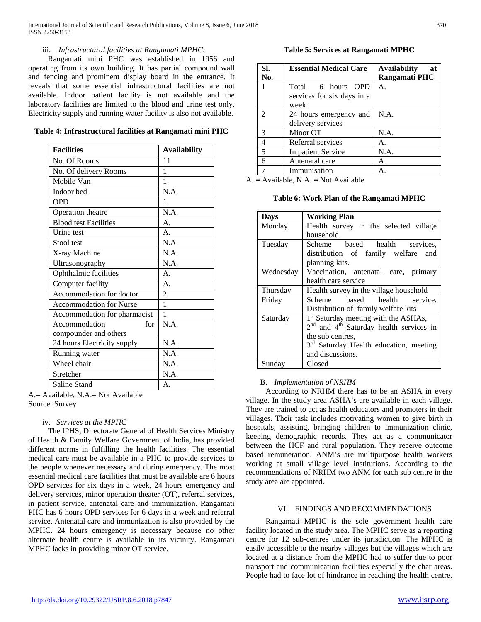# iii. *Infrastructural facilities at Rangamati MPHC:*

 Rangamati mini PHC was established in 1956 and operating from its own building. It has partial compound wall and fencing and prominent display board in the entrance. It reveals that some essential infrastructural facilities are not available. Indoor patient facility is not available and the laboratory facilities are limited to the blood and urine test only. Electricity supply and running water facility is also not available.

| <b>Facilities</b>              | <b>Availability</b> |
|--------------------------------|---------------------|
| No. Of Rooms                   | 11                  |
| No. Of delivery Rooms          | 1                   |
| Mobile Van                     | 1                   |
| Indoor bed                     | N.A.                |
| <b>OPD</b>                     | 1                   |
| Operation theatre              | N.A.                |
| <b>Blood test Facilities</b>   | $\mathsf{A}$ .      |
| Urine test                     | $\mathbf{A}$ .      |
| Stool test                     | N.A.                |
| X-ray Machine                  | N.A.                |
| Ultrasonography                | N.A.                |
| Ophthalmic facilities          | $\mathsf{A}$ .      |
| Computer facility              | $\mathbf{A}$ .      |
| Accommodation for doctor       | $\overline{2}$      |
| <b>Accommodation for Nurse</b> | 1                   |
| Accommodation for pharmacist   | 1                   |
| Accommodation<br>for           | N.A.                |
| compounder and others          |                     |
| 24 hours Electricity supply    | N.A.                |
| Running water                  | N.A.                |
| Wheel chair                    | N.A.                |
| Stretcher                      | N.A.                |
| Saline Stand                   | A.                  |

A.= Available, N.A.= Not Available Source: Survey

# iv. *Services at the MPHC*

 The IPHS, Directorate General of Health Services Ministry of Health & Family Welfare Government of India, has provided different norms in fulfilling the health facilities. The essential medical care must be available in a PHC to provide services to the people whenever necessary and during emergency. The most essential medical care facilities that must be available are 6 hours OPD services for six days in a week, 24 hours emergency and delivery services, minor operation theater (OT), referral services, in patient service, antenatal care and immunization. Rangamati PHC has 6 hours OPD services for 6 days in a week and referral service. Antenatal care and immunization is also provided by the MPHC. 24 hours emergency is necessary because no other alternate health centre is available in its vicinity. Rangamati MPHC lacks in providing minor OT service.

**Table 5: Services at Rangamati MPHC**

| Sl.                         | <b>Essential Medical Care</b> | <b>Availability</b><br>at |
|-----------------------------|-------------------------------|---------------------------|
| No.                         |                               | Rangamati PHC             |
|                             | Total 6 hours OPD             | A <sub>1</sub>            |
|                             | services for six days in a    |                           |
|                             | week                          |                           |
| $\mathcal{D}_{\mathcal{L}}$ | 24 hours emergency and        | N.A.                      |
|                             | delivery services             |                           |
| 3                           | Minor OT                      | N.A.                      |
| 4                           | Referral services             | А.                        |
| 5                           | In patient Service            | N.A.                      |
| 6                           | Antenatal care                | А.                        |
|                             | Immunisation                  | A                         |

 $A =$  Available, N.A. = Not Available

**Table 6: Work Plan of the Rangamati MPHC**

| Days      | <b>Working Plan</b>                                |
|-----------|----------------------------------------------------|
| Monday    | Health survey in the selected village              |
|           | household                                          |
| Tuesday   | Scheme based health services,                      |
|           | distribution of family welfare and                 |
|           | planning kits.                                     |
| Wednesday | Vaccination, antenatal care, primary               |
|           | health care service                                |
| Thursday  | Health survey in the village household             |
| Friday    | Scheme based health service.                       |
|           | Distribution of family welfare kits                |
| Saturday  | $1st$ Saturday meeting with the ASHAs,             |
|           | $2nd$ and $4th$ Saturday health services in        |
|           | the sub centres,                                   |
|           | 3 <sup>rd</sup> Saturday Health education, meeting |
|           | and discussions.                                   |
| Sunday    | Closed                                             |

# B. *Implementation of NRHM*

 According to NRHM there has to be an ASHA in every village. In the study area ASHA's are available in each village. They are trained to act as health educators and promoters in their villages. Their task includes motivating women to give birth in hospitals, assisting, bringing children to immunization clinic, keeping demographic records. They act as a communicator between the HCF and rural population. They receive outcome based remuneration. ANM's are multipurpose health workers working at small village level institutions. According to the recommendations of NRHM two ANM for each sub centre in the study area are appointed.

# VI. FINDINGS AND RECOMMENDATIONS

 Rangamati MPHC is the sole government health care facility located in the study area. The MPHC serve as a reporting centre for 12 sub-centres under its jurisdiction. The MPHC is easily accessible to the nearby villages but the villages which are located at a distance from the MPHC had to suffer due to poor transport and communication facilities especially the char areas. People had to face lot of hindrance in reaching the health centre.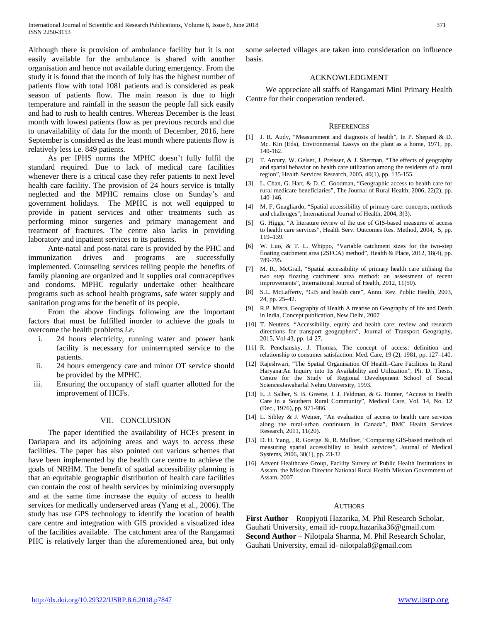Although there is provision of ambulance facility but it is not easily available for the ambulance is shared with another organisation and hence not available during emergency. From the study it is found that the month of July has the highest number of patients flow with total 1081 patients and is considered as peak season of patients flow. The main reason is due to high temperature and rainfall in the season the people fall sick easily and had to rush to health centres. Whereas December is the least month with lowest patients flow as per previous records and due to unavailability of data for the month of December, 2016, here September is considered as the least month where patients flow is relatively less i.e. 849 patients.

 As per IPHS norms the MPHC doesn't fully fulfil the standard required. Due to lack of medical care facilities whenever there is a critical case they refer patients to next level health care facility. The provision of 24 hours service is totally neglected and the MPHC remains close on Sunday's and government holidays. The MPHC is not well equipped to provide in patient services and other treatments such as performing minor surgeries and primary management and treatment of fractures. The centre also lacks in providing laboratory and inpatient services to its patients.

 Ante-natal and post-natal care is provided by the PHC and immunization drives and programs are successfully implemented. Counseling services telling people the benefits of family planning are organized and it supplies oral contraceptives and condoms. MPHC regularly undertake other healthcare programs such as school health programs, safe water supply and sanitation programs for the benefit of its people.

 From the above findings following are the important factors that must be fulfilled inorder to achieve the goals to overcome the health problems *i.e.*

- i. 24 hours electricity, running water and power bank facility is necessary for uninterrupted service to the patients.
- ii. 24 hours emergency care and minor OT service should be provided by the MPHC.
- iii. Ensuring the occupancy of staff quarter allotted for the improvement of HCFs.

#### VII. CONCLUSION

 The paper identified the availability of HCFs present in Dariapara and its adjoining areas and ways to access these facilities. The paper has also pointed out various schemes that have been implemented by the health care centre to achieve the goals of NRHM. The benefit of spatial accessibility planning is that an equitable geographic distribution of health care facilities can contain the cost of health services by minimizing oversupply and at the same time increase the equity of access to health services for medically underserved areas (Yang et al., 2006). The study has use GPS technology to identify the location of health care centre and integration with GIS provided a visualized idea of the facilities available. The catchment area of the Rangamati PHC is relatively larger than the aforementioned area, but only

some selected villages are taken into consideration on influence basis.

### ACKNOWLEDGMENT

 We appreciate all staffs of Rangamati Mini Primary Health Centre for their cooperation rendered.

#### **REFERENCES**

- [1] J. R. Audy, "Measurement and diagnosis of health", In P. Shepard & D. Mc. Kin (Eds), Environmental Eassys on the plant as a home, 1971, pp. 140-162.
- [2] T. Arcury, W. Gelser, J. Preisser, & J. Sherman, "The effects of geography and spatial behavior on health care utilization among the residents of a rural region", Health Services Research, 2005, 40(1), pp. 135-155.
- [3] L. Chan, G. Hart, & D. C. Goodman, "Geographic access to health care for rural medicare beneficiaries", The Journal of Rural Health, 2006, 22(2), pp. 140-146.
- [4] M. F. Guagliardo, "Spatial accessibility of primary care: concepts, methods and challenges", International Journal of Health, 2004, 3(3).
- [5] G. Higgs, "A literature review of the use of GIS-based measures of access to health care services", Health Serv. Outcomes Res. Method, 2004, 5, pp. 119–139.
- [6] W. Luo, & T. L. Whippo, "Variable catchment sizes for the two-step floating catchment area (2SFCA) method", Health & Place, 2012, 18(4), pp. 789-795.
- [7] M. R., McGrail, "Spatial accessibility of primary health care utilising the two step floating catchment area method: an assessment of recent improvements", International Journal of Health, 2012, 11(50).
- [8] S.L. McLafferty, "GIS and health care", Annu. Rev. Public Health, 2003, 24, pp. 25–42.
- [9] R.P. Misra, Geography of Health A treatise on Geography of life and Death in India, Concept publication, New Delhi, 2007
- [10] T. Neutens, "Accessibility, equity and health care: review and research directions for transport geographers", Journal of Transport Geography, 2015, Vol-43, pp. 14-27.
- [11] R. Penchansky, J. Thomas, The concept of access: definition and relationship to consumer satisfaction. Med. Care, 19 (2), 1981, pp. 127–140.
- [12] Rajeshwari, "The Spatial Organisation Of Health–Care Facilities In Rural Haryana:An Inquiry into Its Availability and Utilization", Ph. D. Thesis, Centre for the Study of Regional Development School of Social SciencesJawaharlal Nehru University, 1993.
- [13] E. J. Salber, S. B. Greene, J. J. Feldman, & G. Hunter, "Access to Health Care in a Southern Rural Community", Medical Care, Vol. 14, No. 12 (Dec., 1976), pp. 971-986.
- [14] L. Sibley & J. Weiner, "An evaluation of access to health care services along the rural-urban continuum in Canada", BMC Health Services Research, 2011, 11(20).
- [15] D. H. Yang, , R. Goerge. &, R. Mullner, "Comparing GIS-based methods of measuring spatial accessibility to health services", Journal of Medical Systems, 2006, 30(1), pp. 23-32
- [16] Advent Healthcare Group, Facility Survey of Public Health Institutions in Assam, the Mission Director National Rural Health Mission Government of Assam, 2007

#### **AUTHORS**

**First Author** – Roopjyoti Hazarika, M. Phil Research Scholar, Gauhati University, email id- roopz.hazarika36@gmail.com **Second Author** – Nilotpala Sharma, M. Phil Research Scholar, Gauhati University, email id- nilotpala8@gmail.com